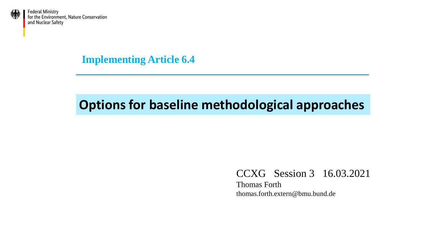

**Implementing Article 6.4**

### **Options for baseline methodological approaches**

#### CCXG Session 3 16.03.2021

Thomas Forth thomas.forth.extern@bmu.bund.de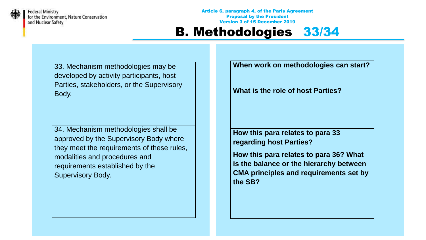

Article 6, paragraph 4, of the Paris Agreement Proposal by the President Version 3 of 15 December 2019

#### B. Methodologies 33/34

33. Mechanism methodologies may be developed by activity participants, host Parties, stakeholders, or the Supervisory Body.

34. Mechanism methodologies shall be approved by the Supervisory Body where they meet the requirements of these rules, modalities and procedures and requirements established by the Supervisory Body.

**When work on methodologies can start?**

**What is the role of host Parties?**

**How this para relates to para 33 regarding host Parties?**

**How this para relates to para 36? What is the balance or the hierarchy between CMA principles and requirements set by the SB?**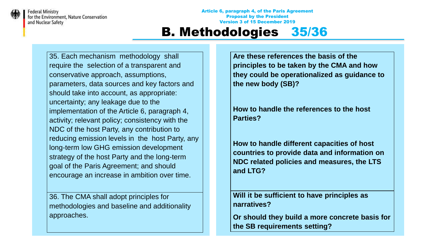

Article 6, paragraph 4, of the Paris Agreement Proposal by the President Version 3 of 15 December 2019

#### B. Methodologies 35/36

35. Each mechanism methodology shall require the selection of a transparent and conservative approach, assumptions, parameters, data sources and key factors and should take into account, as appropriate: uncertainty; any leakage due to the implementation of the Article 6, paragraph 4, activity; relevant policy; consistency with the NDC of the host Party, any contribution to reducing emission levels in the host Party, any long-term low GHG emission development strategy of the host Party and the long-term goal of the Paris Agreement; and should encourage an increase in ambition over time.

36. The CMA shall adopt principles for methodologies and baseline and additionality approaches.

**Are these references the basis of the principles to be taken by the CMA and how they could be operationalized as guidance to the new body (SB)?**

**How to handle the references to the host Parties?** 

**How to handle different capacities of host countries to provide data and information on NDC related policies and measures, the LTS and LTG?**

**Will it be sufficient to have principles as narratives?**

**Or should they build a more concrete basis for the SB requirements setting?**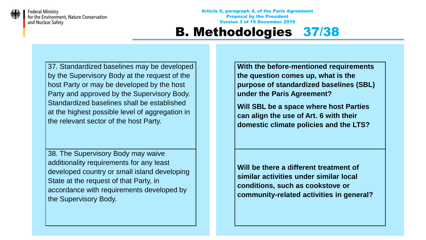

Article 6, paragraph 4, of the Paris Agreement Proposal by the President Version 3 of 15 December 2019

#### B. Methodologies 37/38

37. Standardized baselines may be developed by the Supervisory Body at the request of the host Party or may be developed by the host Party and approved by the Supervisory Body. Standardized baselines shall be established at the highest possible level of aggregation in the relevant sector of the host Party.

38. The Supervisory Body may waive additionality requirements for any least developed country or small island developing State at the request of that Party, in accordance with requirements developed by the Supervisory Body.

**With the before-mentioned requirements the question comes up, what is the purpose of standardized baselines (SBL) under the Paris Agreement?**

**Will SBL be a space where host Parties can align the use of Art. 6 with their domestic climate policies and the LTS?**

**Will be there a different treatment of similar activities under similar local conditions, such as cookstove or community-related activities in general?**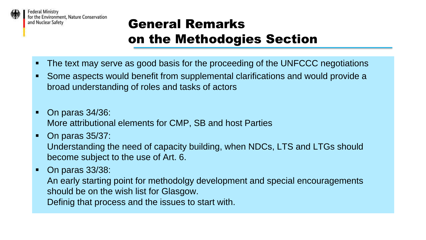

# General Remarks on the Methodogies Section

- The text may serve as good basis for the proceeding of the UNFCCC negotiations
- Some aspects would benefit from supplemental clarifications and would provide a broad understanding of roles and tasks of actors
- On paras 34/36: More attributional elements for CMP, SB and host Parties
- On paras 35/37: Understanding the need of capacity building, when NDCs, LTS and LTGs should become subject to the use of Art. 6.
- On paras 33/38:
	- An early starting point for methodolgy development and special encouragements should be on the wish list for Glasgow.
	- Definig that process and the issues to start with.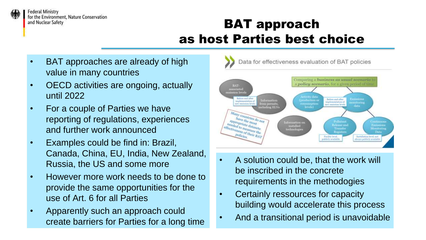

# BAT approach as host Parties best choice

- BAT approaches are already of high value in many countries
- OECD activities are ongoing, actually until 2022
- For a couple of Parties we have reporting of regulations, experiences and further work announced
- Examples could be find in: Brazil, Canada, China, EU, India, New Zealand, Russia, the US and some more
- However more work needs to be done to provide the same opportunities for the use of Art. 6 for all Parties
- Apparently such an approach could create barriers for Parties for a long time



- A solution could be, that the work will be inscribed in the concrete requirements in the methodogies
- Certainly ressources for capacity building would accelerate this process
- And a transitional period is unavoidable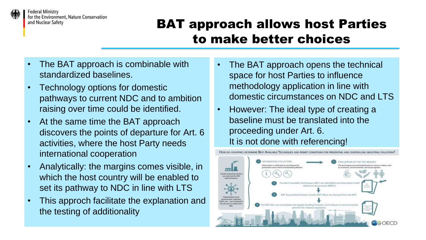

## BAT approach allows host Parties to make better choices

- The BAT approach is combinable with standardized baselines.
- Technology options for domestic pathways to current NDC and to ambition raising over time could be identified.
- At the same time the BAT approach discovers the points of departure for Art. 6 activities, where the host Party needs international cooperation
- Analytically: the margins comes visible, in which the host country will be enabled to set its pathway to NDC in line with LTS
- This approch facilitate the explanation and the testing of additionality
- The BAT approach opens the technical space for host Parties to influence methodology application in line with domestic circumstances on NDC and LTS
- However: The ideal type of creating a baseline must be translated into the proceeding under Art. 6. It is not done with referencing!